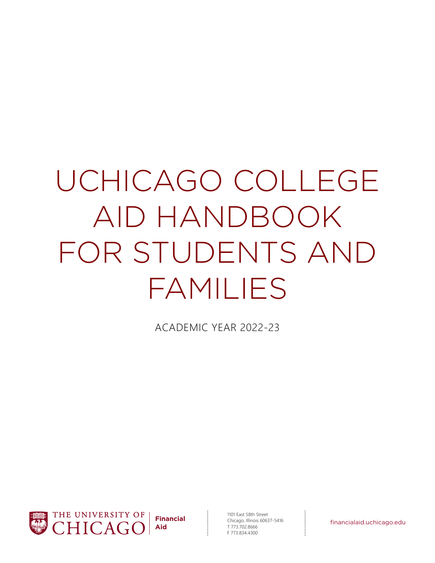# UCHICAGO COLLEGE AID HANDBOOK FOR STUDENTS AND FAMILIES

ACADEMIC YEAR 2022-23



1101 East 58th Street Chicago, Illinois 60637-5416 T 773.702.8666 F 773.834.4300 **Financial**<br>
Chicago, Illinois 60637-5416<br>
T 773.702.8666<br>
F 773.834.4300<br>
F 773.834.4300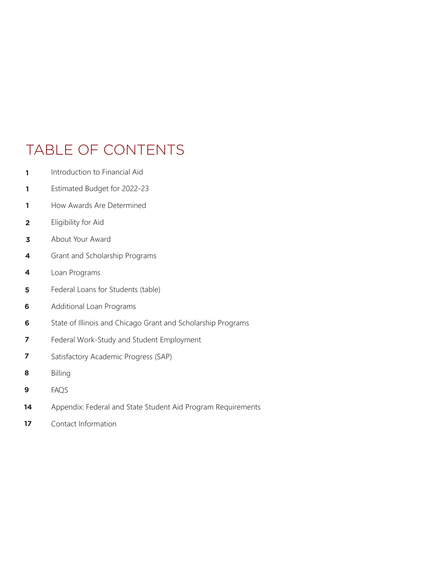# TABLE OF CONTENTS

- **1**  Introduction to Financial Aid
- **1** Estimated Budget for 2022-23
- **1** How Awards Are Determined
- **2** Eligibility for Aid
- **3** About Your Award
- **4** Grant and Scholarship Programs
- **4** Loan Programs
- **5** Federal Loans for Students (table)
- **6** Additional Loan Programs
- **6** State of Illinois and Chicago Grant and Scholarship Programs
- **7** Federal Work-Study and Student Employment
- **7** Satisfactory Academic Progress (SAP)
- **8** Billing
- **9** FAQS
- **14** Appendix: Federal and State Student Aid Program Requirements
- **17** Contact Information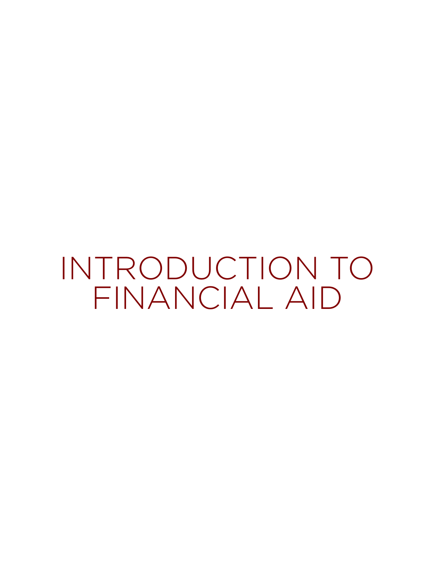INTRODUCTION TO FINANCIAL AID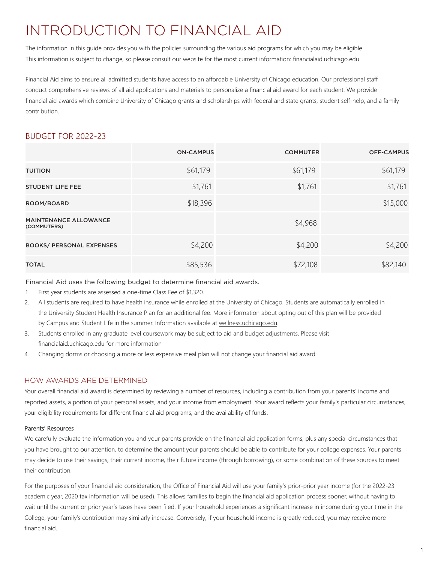# INTRODUCTION TO FINANCIAL AID

The information in this guide provides you with the policies surrounding the various aid programs for which you may be eligible. This information is subject to change, so please consult our website for the most current information: financialaid.uchicago.edu.

Financial Aid aims to ensure all admitted students have access to an affordable University of Chicago education. Our professional staff conduct comprehensive reviews of all aid applications and materials to personalize a financial aid award for each student. We provide financial aid awards which combine University of Chicago grants and scholarships with federal and state grants, student self-help, and a family contribution.

# BUDGET FOR 2022-23

|                                             | <b>ON-CAMPUS</b> | <b>COMMUTER</b> | <b>OFF-CAMPUS</b> |
|---------------------------------------------|------------------|-----------------|-------------------|
| <b>TUITION</b>                              | \$61,179         | \$61,179        | \$61,179          |
| <b>STUDENT LIFE FEE</b>                     | \$1,761          | \$1,761         | \$1,761           |
| ROOM/BOARD                                  | \$18,396         |                 | \$15,000          |
| <b>MAINTENANCE ALLOWANCE</b><br>(COMMUTERS) |                  | \$4,968         |                   |
| <b>BOOKS/ PERSONAL EXPENSES</b>             | \$4,200          | \$4,200         | \$4,200           |
| <b>TOTAL</b>                                | \$85,536         | \$72,108        | \$82,140          |

Financial Aid uses the following budget to determine financial aid awards.

- 1. First year students are assessed a one-time Class Fee of \$1,320.
- 2. All students are required to have health insurance while enrolled at the University of Chicago. Students are automatically enrolled in the University Student Health Insurance Plan for an additional fee. More information about opting out of this plan will be provided by Campus and Student Life in the summer. Information available at wellness.uchicago.edu.
- 3. Students enrolled in any graduate level coursework may be subject to aid and budget adjustments. Please visit financialaid.uchicago.edu for more information
- 4. Changing dorms or choosing a more or less expensive meal plan will not change your financial aid award.

# HOW AWARDS ARE DETERMINED

Your overall financial aid award is determined by reviewing a number of resources, including a contribution from your parents' income and reported assets, a portion of your personal assets, and your income from employment. Your award reflects your family's particular circumstances, your eligibility requirements for different financial aid programs, and the availability of funds.

# Parents' Resources

We carefully evaluate the information you and your parents provide on the financial aid application forms, plus any special circumstances that you have brought to our attention, to determine the amount your parents should be able to contribute for your college expenses. Your parents may decide to use their savings, their current income, their future income (through borrowing), or some combination of these sources to meet their contribution.

For the purposes of your financial aid consideration, the Office of Financial Aid will use your family's prior-prior year income (for the 2022-23 academic year, 2020 tax information will be used). This allows families to begin the financial aid application process sooner, without having to wait until the current or prior year's taxes have been filed. If your household experiences a significant increase in income during your time in the College, your family's contribution may similarly increase. Conversely, if your household income is greatly reduced, you may receive more financial aid.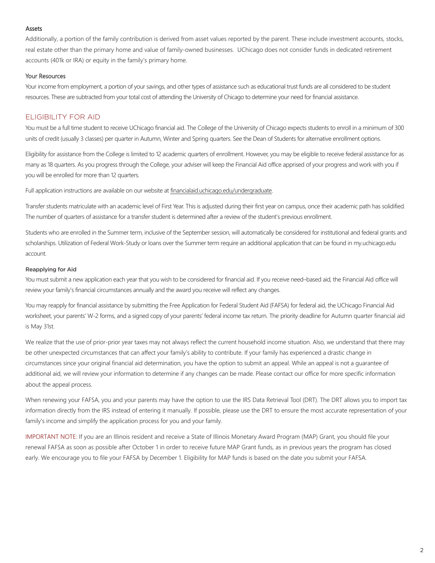### Assets

Additionally, a portion of the family contribution is derived from asset values reported by the parent. These include investment accounts, stocks, real estate other than the primary home and value of family-owned businesses. UChicago does not consider funds in dedicated retirement accounts (401k or IRA) or equity in the family's primary home.

# Your Resources

Your income from employment, a portion of your savings, and other types of assistance such as educational trust funds are all considered to be student resources. These are subtracted from your total cost of attending the University of Chicago to determine your need for financial assistance.

# ELIGIBILITY FOR AID

You must be a full time student to receive UChicago financial aid. The College of the University of Chicago expects students to enroll in a minimum of 300 units of credit (usually 3 classes) per quarter in Autumn, Winter and Spring quarters. See the Dean of Students for alternative enrollment options.

Eligibility for assistance from the College is limited to 12 academic quarters of enrollment. However, you may be eligible to receive federal assistance for as many as 18 quarters. As you progress through the College, your adviser will keep the Financial Aid office apprised of your progress and work with you if you will be enrolled for more than 12 quarters.

Full application instructions are available on our website at financialaid.uchicago.edu/undergraduate.

Transfer students matriculate with an academic level of First Year. This is adjusted during their first year on campus, once their academic path has solidified. The number of quarters of assistance for a transfer student is determined after a review of the student's previous enrollment.

Students who are enrolled in the Summer term, inclusive of the September session, will automatically be considered for institutional and federal grants and scholarships. Utilization of Federal Work-Study or loans over the Summer term require an additional application that can be found in my.uchicago.edu account.

# Reapplying for Aid

You must submit a new application each year that you wish to be considered for financial aid. If you receive need–based aid, the Financial Aid office will review your family's financial circumstances annually and the award you receive will reflect any changes.

You may reapply for financial assistance by submitting the Free Application for Federal Student Aid (FAFSA) for federal aid, the UChicago Financial Aid worksheet, your parents' W-2 forms, and a signed copy of your parents' federal income tax return. The priority deadline for Autumn quarter financial aid is May 31st.

We realize that the use of prior-prior year taxes may not always reflect the current household income situation. Also, we understand that there may be other unexpected circumstances that can affect your family's ability to contribute. If your family has experienced a drastic change in circumstances since your original financial aid determination, you have the option to submit an appeal. While an appeal is not a guarantee of additional aid, we will review your information to determine if any changes can be made. Please contact our office for more specific information about the appeal process.

When renewing your FAFSA, you and your parents may have the option to use the IRS Data Retrieval Tool (DRT). The DRT allows you to import tax information directly from the IRS instead of entering it manually. If possible, please use the DRT to ensure the most accurate representation of your family's income and simplify the application process for you and your family.

IMPORTANT NOTE: If you are an Illinois resident and receive a State of Illinois Monetary Award Program (MAP) Grant, you should file your renewal FAFSA as soon as possible after October 1 in order to receive future MAP Grant funds, as in previous years the program has closed early. We encourage you to file your FAFSA by December 1. Eligibility for MAP funds is based on the date you submit your FAFSA.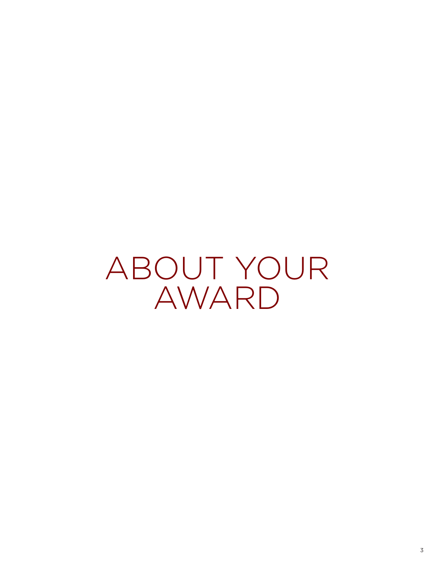ABOUT YOUR AWARD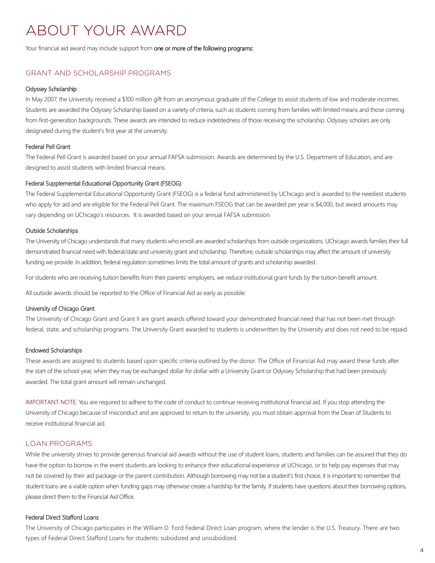# ABOUT YOUR AWARD

Your financial aid award may include support from one or more of the following programs:

# GRANT AND SCHOLARSHIP PROGRAMS

#### Odyssey Scholarship

In May 2007, the University received a \$100 million gift from an anonymous graduate of the College to assist students of low and moderate incomes. Students are awarded the Odyssey Scholarship based on a variety of criteria, such as students coming from families with limited means and those coming from first-generation backgrounds. These awards are intended to reduce indebtedness of those receiving the scholarship. Odyssey scholars are only designated during the student's first year at the university.

# Federal Pell Grant

The Federal Pell Grant is awarded based on your annual FAFSA submission. Awards are determined by the U.S. Department of Education, and are designed to assist students with limited financial means.

#### Federal Supplemental Educational Opportunity Grant (FSEOG)

The Federal Supplemental Educational Opportunity Grant (FSEOG) is a federal fund administered by UChicago and is awarded to the neediest students who apply for aid and are eligible for the Federal Pell Grant. The maximum FSEOG that can be awarded per year is \$4,000, but award amounts may vary depending on UChicago's resources. It is awarded based on your annual FAFSA submission.

#### Outside Scholarships

The University of Chicago understands that many students who enroll are awarded scholarships from outside organizations. UChicago awards families their full demonstrated financial need with federal/state and university grant and scholarship. Therefore, outside scholarships may affect the amount of university funding we provide. In addition, federal regulation sometimes limits the total amount of grants and scholarship awarded.

For students who are receiving tuition benefits from their parents' employers, we reduce institutional grant funds by the tuition benefit amount.

All outside awards should be reported to the Office of Financial Aid as early as possible.

#### University of Chicago Grant

The University of Chicago Grant and Grant II are grant awards offered toward your demonstrated financial need that has not been met through federal, state, and scholarship programs. The University Grant awarded to students is underwritten by the University and does not need to be repaid.

#### Endowed Scholarships

These awards are assigned to students based upon specific criteria outlined by the donor. The Office of Financial Aid may award these funds after the start of the school year, when they may be exchanged dollar for dollar with a University Grant or Odyssey Scholarship that had been previously awarded. The total grant amount will remain unchanged.

IMPORTANT NOTE: You are required to adhere to the code of conduct to continue receiving institutional financial aid. If you stop attending the University of Chicago because of misconduct and are approved to return to the university, you must obtain approval from the Dean of Students to receive institutional financial aid.

# LOAN PROGRAMS

While the university strives to provide generous financial aid awards without the use of student loans, students and families can be assured that they do have the option to borrow in the event students are looking to enhance their educational experience at UChicago, or to help pay expenses that may not be covered by their aid package or the parent contribution. Although borrowing may not be a student's first choice, it is important to remember that student loans are a viable option when funding gaps may otherwise create a hardship for the family. If students have questions about their borrowing options, please direct them to the Financial Aid Office.

# Federal Direct Stafford Loans

The University of Chicago participates in the William D. Ford Federal Direct Loan program, where the lender is the U.S. Treasury. There are two types of Federal Direct Stafford Loans for students: subsidized and unsubsidized.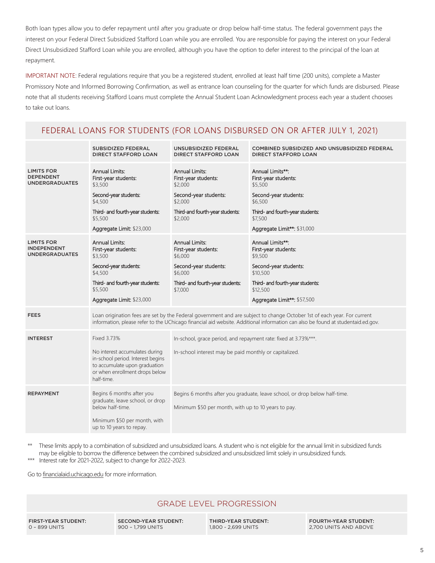Both loan types allow you to defer repayment until after you graduate or drop below half-time status. The federal government pays the interest on your Federal Direct Subsidized Stafford Loan while you are enrolled. You are responsible for paying the interest on your Federal Direct Unsubsidized Stafford Loan while you are enrolled, although you have the option to defer interest to the principal of the loan at repayment.

IMPORTANT NOTE: Federal regulations require that you be a registered student, enrolled at least half time (200 units), complete a Master Promissory Note and Informed Borrowing Confirmation, as well as entrance loan counseling for the quarter for which funds are disbursed. Please note that all students receiving Stafford Loans must complete the Annual Student Loan Acknowledgment process each year a student chooses to take out loans.

# FEDERAL LOANS FOR STUDENTS (FOR LOANS DISBURSED ON OR AFTER JULY 1, 2021)

|                                                                  | SUBSIDIZED FEDERAL<br><b>DIRECT STAFFORD LOAN</b>                                                                                                                                                                                                          | UNSUBSIDIZED FEDERAL<br><b>DIRECT STAFFORD LOAN</b>                                                                                         | COMBINED SUBSIDIZED AND UNSUBSIDIZED FEDERAL<br><b>DIRECT STAFFORD LOAN</b>                                                                                             |  |
|------------------------------------------------------------------|------------------------------------------------------------------------------------------------------------------------------------------------------------------------------------------------------------------------------------------------------------|---------------------------------------------------------------------------------------------------------------------------------------------|-------------------------------------------------------------------------------------------------------------------------------------------------------------------------|--|
| <b>LIMITS FOR</b><br><b>DEPENDENT</b><br><b>UNDERGRADUATES</b>   | <b>Annual Limits:</b><br>First-year students:<br>\$3,500<br>Second-year students:<br>\$4,500<br>Third- and fourth-year students:<br>\$5,500<br>Aggregate Limit: \$23,000                                                                                   | <b>Annual Limits:</b><br>First-year students:<br>\$2,000<br>Second-year students:<br>\$2,000<br>Third-and fourth-year students:<br>\$2,000  | Annual Limits**:<br>First-year students:<br>\$5,500<br>Second-year students:<br>\$6,500<br>Third- and fourth-year students:<br>\$7,500<br>Aggregate Limit**: \$31,000   |  |
| <b>LIMITS FOR</b><br><b>INDEPENDENT</b><br><b>UNDERGRADUATES</b> | <b>Annual Limits:</b><br>First-year students:<br>\$3,500<br>Second-year students:<br>\$4,500<br>Third- and fourth-year students:<br>\$5,500<br>Aggregate Limit: \$23,000                                                                                   | <b>Annual Limits:</b><br>First-year students:<br>\$6,000<br>Second-year students:<br>\$6,000<br>Third- and fourth-year students:<br>\$7,000 | Annual Limits**:<br>First-year students:<br>\$9,500<br>Second-year students:<br>\$10,500<br>Third- and fourth-year students:<br>\$12,500<br>Aggregate Limit**: \$57,500 |  |
| <b>FEES</b>                                                      | Loan origination fees are set by the Federal government and are subject to change October 1st of each year. For current<br>information, please refer to the UChicago financial aid website. Additional information can also be found at studentaid.ed.gov. |                                                                                                                                             |                                                                                                                                                                         |  |
| <b>INTEREST</b>                                                  | Fixed 3.73%<br>No interest accumulates during<br>in-school period. Interest begins<br>to accumulate upon graduation<br>or when enrollment drops below<br>half-time.                                                                                        | In-school, grace period, and repayment rate: fixed at 3.73%***.<br>In-school interest may be paid monthly or capitalized.                   |                                                                                                                                                                         |  |
| <b>REPAYMENT</b>                                                 | Begins 6 months after you<br>graduate, leave school, or drop<br>below half-time.<br>Minimum \$50 per month, with<br>up to 10 years to repay.                                                                                                               | Begins 6 months after you graduate, leave school, or drop below half-time.<br>Minimum \$50 per month, with up to 10 years to pay.           |                                                                                                                                                                         |  |

\*\* These limits apply to a combination of subsidized and unsubsidized loans. A student who is not eligible for the annual limit in subsidized funds may be eligible to borrow the difference between the combined subsidized and unsubsidized limit solely in unsubsidized funds.

\*\*\* Interest rate for 2021-2022, subject to change for 2022-2023.

Go to financialaid.uchicago.edu for more information.

# GRADE LEVEL PROGRESSION

FIRST-YEAR STUDENT: 0 – 899 UNITS

SECOND-YEAR STUDENT: 900 – 1,799 UNITS

THIRD-YEAR STUDENT: 1,800 - 2,699 UNITS

FOURTH-YEAR STUDENT: 2,700 UNITS AND ABOVE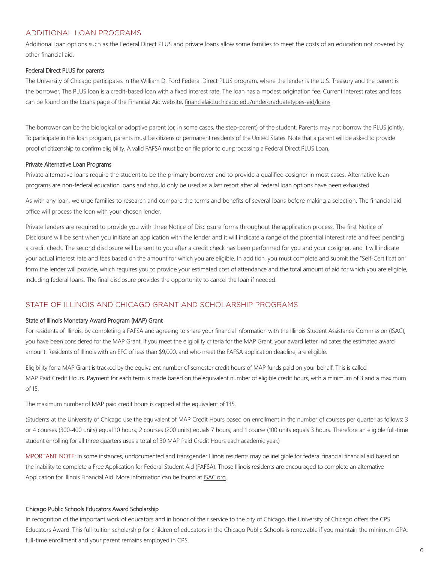# ADDITIONAL LOAN PROGRAMS

Additional loan options such as the Federal Direct PLUS and private loans allow some families to meet the costs of an education not covered by other financial aid.

# Federal Direct PLUS for parents

The University of Chicago participates in the William D. Ford Federal Direct PLUS program, where the lender is the U.S. Treasury and the parent is the borrower. The PLUS loan is a credit-based loan with a fixed interest rate. The loan has a modest origination fee. Current interest rates and fees can be found on the Loans page of the Financial Aid website, financialaid.uchicago.edu/undergraduatetypes-aid/loans.

The borrower can be the biological or adoptive parent (or, in some cases, the step-parent) of the student. Parents may not borrow the PLUS jointly. To participate in this loan program, parents must be citizens or permanent residents of the United States. Note that a parent will be asked to provide proof of citizenship to confirm eligibility. A valid FAFSA must be on file prior to our processing a Federal Direct PLUS Loan.

#### Private Alternative Loan Programs

Private alternative loans require the student to be the primary borrower and to provide a qualified cosigner in most cases. Alternative loan programs are non-federal education loans and should only be used as a last resort after all federal loan options have been exhausted.

As with any loan, we urge families to research and compare the terms and benefits of several loans before making a selection. The financial aid office will process the loan with your chosen lender.

Private lenders are required to provide you with three Notice of Disclosure forms throughout the application process. The first Notice of Disclosure will be sent when you initiate an application with the lender and it will indicate a range of the potential interest rate and fees pending a credit check. The second disclosure will be sent to you after a credit check has been performed for you and your cosigner, and it will indicate your actual interest rate and fees based on the amount for which you are eligible. In addition, you must complete and submit the "Self-Certification" form the lender will provide, which requires you to provide your estimated cost of attendance and the total amount of aid for which you are eligible, including federal loans. The final disclosure provides the opportunity to cancel the loan if needed.

# STATE OF ILLINOIS AND CHICAGO GRANT AND SCHOLARSHIP PROGRAMS

#### State of Illinois Monetary Award Program (MAP) Grant

For residents of Illinois, by completing a FAFSA and agreeing to share your financial information with the Illinois Student Assistance Commission (ISAC), you have been considered for the MAP Grant. If you meet the eligibility criteria for the MAP Grant, your award letter indicates the estimated award amount. Residents of Illinois with an EFC of less than \$9,000, and who meet the FAFSA application deadline, are eligible.

Eligibility for a MAP Grant is tracked by the equivalent number of semester credit hours of MAP funds paid on your behalf. This is called MAP Paid Credit Hours. Payment for each term is made based on the equivalent number of eligible credit hours, with a minimum of 3 and a maximum of 15.

The maximum number of MAP paid credit hours is capped at the equivalent of 135.

(Students at the University of Chicago use the equivalent of MAP Credit Hours based on enrollment in the number of courses per quarter as follows: 3 or 4 courses (300-400 units) equal 10 hours; 2 courses (200 units) equals 7 hours; and 1 course (100 units equals 3 hours. Therefore an eligible full-time student enrolling for all three quarters uses a total of 30 MAP Paid Credit Hours each academic year.)

MPORTANT NOTE: In some instances, undocumented and transgender Illinois residents may be ineligible for federal financial financial aid based on the inability to complete a Free Application for Federal Student Aid (FAFSA). Those Illinois residents are encouraged to complete an alternative Application for Illinois Financial Aid. More information can be found at ISAC.org.

#### Chicago Public Schools Educators Award Scholarship

In recognition of the important work of educators and in honor of their service to the city of Chicago, the University of Chicago offers the CPS Educators Award. This full-tuition scholarship for children of educators in the Chicago Public Schools is renewable if you maintain the minimum GPA, full-time enrollment and your parent remains employed in CPS.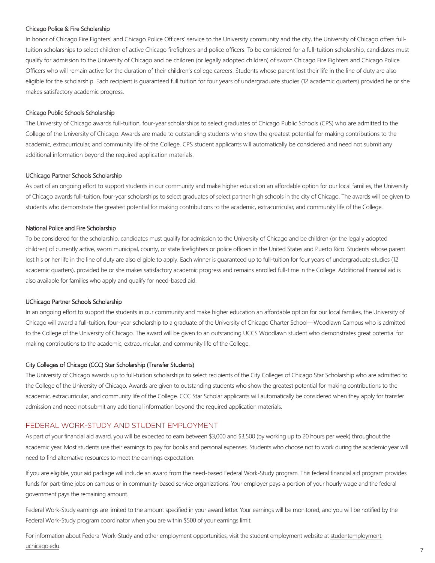### Chicago Police & Fire Scholarship

In honor of Chicago Fire Fighters' and Chicago Police Officers' service to the University community and the city, the University of Chicago offers fulltuition scholarships to select children of active Chicago firefighters and police officers. To be considered for a full-tuition scholarship, candidates must qualify for admission to the University of Chicago and be children (or legally adopted children) of sworn Chicago Fire Fighters and Chicago Police Officers who will remain active for the duration of their children's college careers. Students whose parent lost their life in the line of duty are also eligible for the scholarship. Each recipient is guaranteed full tuition for four years of undergraduate studies (12 academic quarters) provided he or she makes satisfactory academic progress.

#### Chicago Public Schools Scholarship

The University of Chicago awards full-tuition, four-year scholarships to select graduates of Chicago Public Schools (CPS) who are admitted to the College of the University of Chicago. Awards are made to outstanding students who show the greatest potential for making contributions to the academic, extracurricular, and community life of the College. CPS student applicants will automatically be considered and need not submit any additional information beyond the required application materials.

# UChicago Partner Schools Scholarship

As part of an ongoing effort to support students in our community and make higher education an affordable option for our local families, the University of Chicago awards full-tuition, four-year scholarships to select graduates of select partner high schools in the city of Chicago. The awards will be given to students who demonstrate the greatest potential for making contributions to the academic, extracurricular, and community life of the College.

# National Police and Fire Scholarship

To be considered for the scholarship, candidates must qualify for admission to the University of Chicago and be children (or the legally adopted children) of currently active, sworn municipal, county, or state firefighters or police officers in the United States and Puerto Rico. Students whose parent lost his or her life in the line of duty are also eligible to apply. Each winner is guaranteed up to full-tuition for four years of undergraduate studies (12 academic quarters), provided he or she makes satisfactory academic progress and remains enrolled full-time in the College. Additional financial aid is also available for families who apply and qualify for need-based aid.

#### UChicago Partner Schools Scholarship

In an ongoing effort to support the students in our community and make higher education an affordable option for our local families, the University of Chicago will award a full-tuition, four-year scholarship to a graduate of the University of Chicago Charter School—Woodlawn Campus who is admitted to the College of the University of Chicago. The award will be given to an outstanding UCCS Woodlawn student who demonstrates great potential for making contributions to the academic, extracurricular, and community life of the College.

#### City Colleges of Chicago (CCC) Star Scholarship (Transfer Students)

The University of Chicago awards up to full-tuition scholarships to select recipients of the City Colleges of Chicago Star Scholarship who are admitted to the College of the University of Chicago. Awards are given to outstanding students who show the greatest potential for making contributions to the academic, extracurricular, and community life of the College. CCC Star Scholar applicants will automatically be considered when they apply for transfer admission and need not submit any additional information beyond the required application materials.

# FEDERAL WORK-STUDY AND STUDENT EMPLOYMENT

As part of your financial aid award, you will be expected to earn between \$3,000 and \$3,500 (by working up to 20 hours per week) throughout the academic year. Most students use their earnings to pay for books and personal expenses. Students who choose not to work during the academic year will need to find alternative resources to meet the earnings expectation.

If you are eligible, your aid package will include an award from the need-based Federal Work-Study program. This federal financial aid program provides funds for part-time jobs on campus or in community-based service organizations. Your employer pays a portion of your hourly wage and the federal government pays the remaining amount.

Federal Work-Study earnings are limited to the amount specified in your award letter. Your earnings will be monitored, and you will be notified by the Federal Work-Study program coordinator when you are within \$500 of your earnings limit.

For information about Federal Work-Study and other employment opportunities, visit the student employment website at studentemployment. uchicago.edu.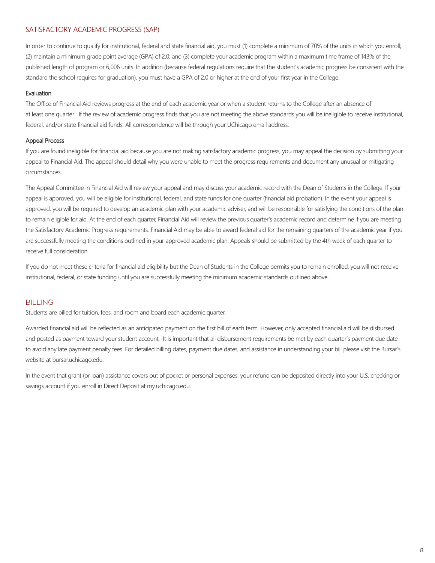# SATISFACTORY ACADEMIC PROGRESS (SAP)

In order to continue to qualify for institutional, federal and state financial aid, you must (1) complete a minimum of 70% of the units in which you enroll; (2) maintain a minimum grade point average (GPA) of 2.0; and (3) complete your academic program within a maximum time frame of 143% of the published length of program or 6,006 units. In addition (because federal regulations require that the student's academic progress be consistent with the standard the school requires for graduation), you must have a GPA of 2.0 or higher at the end of your first year in the College.

### Evaluation

The Office of Financial Aid reviews progress at the end of each academic year or when a student returns to the College after an absence of at least one quarter. If the review of academic progress finds that you are not meeting the above standards you will be ineligible to receive institutional, federal, and/or state financial aid funds. All correspondence will be through your UChicago email address.

# Appeal Process

If you are found ineligible for financial aid because you are not making satisfactory academic progress, you may appeal the decision by submitting your appeal to Financial Aid. The appeal should detail why you were unable to meet the progress requirements and document any unusual or mitigating circumstances.

The Appeal Committee in Financial Aid will review your appeal and may discuss your academic record with the Dean of Students in the College. If your appeal is approved, you will be eligible for institutional, federal, and state funds for one quarter (financial aid probation). In the event your appeal is approved, you will be required to develop an academic plan with your academic adviser, and will be responsible for satisfying the conditions of the plan to remain eligible for aid. At the end of each quarter, Financial Aid will review the previous quarter's academic record and determine if you are meeting the Satisfactory Academic Progress requirements. Financial Aid may be able to award federal aid for the remaining quarters of the academic year if you are successfully meeting the conditions outlined in your approved academic plan. Appeals should be submitted by the 4th week of each quarter to receive full consideration.

If you do not meet these criteria for financial aid eligibility but the Dean of Students in the College permits you to remain enrolled, you will not receive institutional, federal, or state funding until you are successfully meeting the minimum academic standards outlined above.

#### BILLING

Students are billed for tuition, fees, and room and board each academic quarter.

Awarded financial aid will be reflected as an anticipated payment on the first bill of each term. However, only accepted financial aid will be disbursed and posted as payment toward your student account. It is important that all disbursement requirements be met by each quarter's payment due date to avoid any late payment penalty fees. For detailed billing dates, payment due dates, and assistance in understanding your bill please visit the Bursar's website at bursar.uchicago.edu.

In the event that grant (or loan) assistance covers out of pocket or personal expenses, your refund can be deposited directly into your U.S. checking or savings account if you enroll in Direct Deposit at my.uchicago.edu.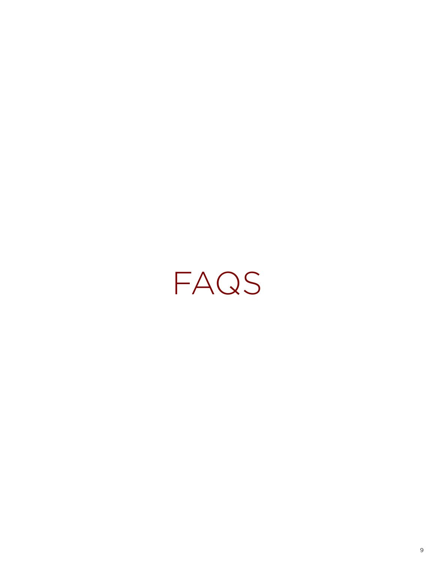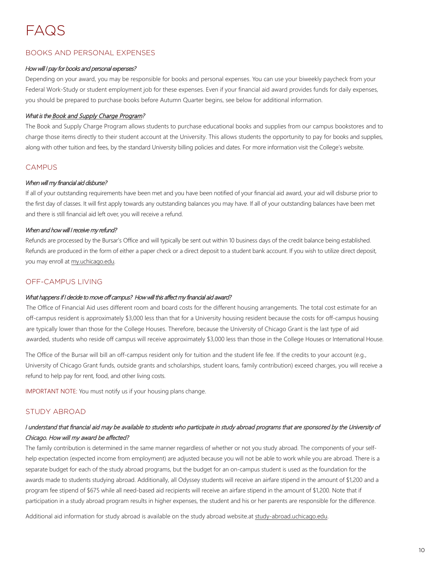# FAQS

# BOOKS AND PERSONAL EXPENSES

# How will I pay for books and personal expenses?

Depending on your award, you may be responsible for books and personal expenses. You can use your biweekly paycheck from your Federal Work-Study or student employment job for these expenses. Even if your financial aid award provides funds for daily expenses, you should be prepared to purchase books before Autumn Quarter begins, see below for additional information.

# What is the Book and Supply Charge Program?

The Book and Supply Charge Program allows students to purchase educational books and supplies from our campus bookstores and to charge those items directly to their student account at the University. This allows students the opportunity to pay for books and supplies, along with other tuition and fees, by the standard University billing policies and dates. For more information visit the College's website.

# CAMPUS

# When will my financial aid disburse?

If all of your outstanding requirements have been met and you have been notified of your financial aid award, your aid will disburse prior to the first day of classes. It will first apply towards any outstanding balances you may have. If all of your outstanding balances have been met and there is still financial aid left over, you will receive a refund.

# When and how will I receive my refund?

Refunds are processed by the Bursar's Office and will typically be sent out within 10 business days of the credit balance being established. Refunds are produced in the form of either a paper check or a direct deposit to a student bank account. If you wish to utilize direct deposit, you may enroll at my.uchicago.edu.

# OFF-CAMPUS LIVING

# What happens if I decide to move off campus? How will this affect my financial aid award?

The Office of Financial Aid uses different room and board costs for the different housing arrangements. The total cost estimate for an off-campus resident is approximately \$3,000 less than that for a University housing resident because the costs for off-campus housing are typically lower than those for the College Houses. Therefore, because the University of Chicago Grant is the last type of aid awarded, students who reside off campus will receive approximately \$3,000 less than those in the College Houses or International House.

The Office of the Bursar will bill an off-campus resident only for tuition and the student life fee. If the credits to your account (e.g., University of Chicago Grant funds, outside grants and scholarships, student loans, family contribution) exceed charges, you will receive a refund to help pay for rent, food, and other living costs.

IMPORTANT NOTE: You must notify us if your housing plans change.

# STUDY ABROAD

# I understand that financial aid may be available to students who participate in study abroad programs that are sponsored by the University of Chicago. How will my award be affected?

The family contribution is determined in the same manner regardless of whether or not you study abroad. The components of your selfhelp expectation (expected income from employment) are adjusted because you will not be able to work while you are abroad. There is a separate budget for each of the study abroad programs, but the budget for an on-campus student is used as the foundation for the awards made to students studying abroad. Additionally, all Odyssey students will receive an airfare stipend in the amount of \$1,200 and a program fee stipend of \$675 while all need-based aid recipients will receive an airfare stipend in the amount of \$1,200. Note that if participation in a study abroad program results in higher expenses, the student and his or her parents are responsible for the difference.

Additional aid information for study abroad is available on the study abroad website.at study-abroad.uchicago.edu.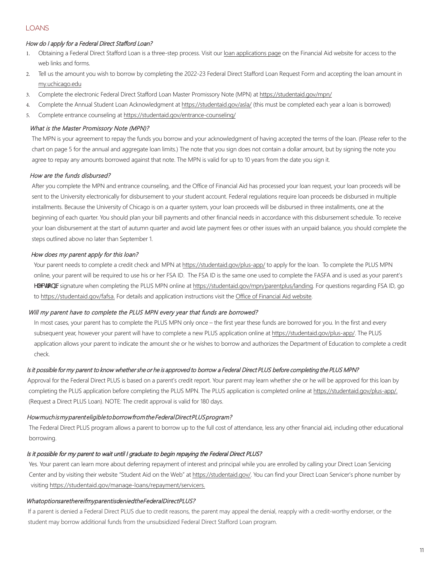# LOANS

# How do I apply for a Federal Direct Stafford Loan?

- 1. Obtaining a Federal Direct Stafford Loan is a three-step process. Visit our loan applications page on the Financial Aid website for access to the web links and forms.
- 2. Tell us the amount you wish to borrow by completing the 2022-23 Federal Direct Stafford Loan Request Form and accepting the loan amount in my.uchicago.edu
- 3. Complete the electronic Federal Direct Stafford Loan Master Promissory Note (MPN) at https://studentaid.gov/mpn/
- 4. Complete the Annual Student Loan Acknowledgment at https://studentaid.gov/asla/ (this must be completed each year a loan is borrowed)
- 5. Complete entrance counseling at https://studentaid.gov/entrance-counseling/

# What is the Master Promissory Note (MPN)?

The MPN is your agreement to repay the funds you borrow and your acknowledgment of having accepted the terms of the loan. (Please refer to the chart on page 5 for the annual and aggregate loan limits.) The note that you sign does not contain a dollar amount, but by signing the note you agree to repay any amounts borrowed against that note. The MPN is valid for up to 10 years from the date you sign it.

# How are the funds disbursed?

After you complete the MPN and entrance counseling, and the Office of Financial Aid has processed your loan request, your loan proceeds will be sent to the University electronically for disbursement to your student account. Federal regulations require loan proceeds be disbursed in multiple installments. Because the University of Chicago is on a quarter system, your loan proceeds will be disbursed in three installments, one at the beginning of each quarter. You should plan your bill payments and other financial needs in accordance with this disbursement schedule. To receive your loan disbursement at the start of autumn quarter and avoid late payment fees or other issues with an unpaid balance, you should complete the steps outlined above no later than September 1.

# How does my parent apply for this loan?

Your parent needs to complete a credit check and MPN at https://studentaid.gov/plus-app/ to apply for the loan. To complete the PLUS MPN online, your parent will be required to use his or her FSA ID. The FSA ID is the same one used to complete the FASFA and is used as your parent's Y'YWfcbJMsignature when completing the PLUS MPN online at https://studentaid.gov/mpn/parentplus/landing. For questions regarding FSA ID, go to https://studentaid.gov/fafsa. For details and application instructions visit the Office of Financial Aid website.

# Will my parent have to complete the PLUS MPN every year that funds are borrowed?

In most cases, your parent has to complete the PLUS MPN only once – the first year these funds are borrowed for you. In the first and every subsequent year, however your parent will have to complete a new PLUS application online at https://studentaid.gov/plus-app/. The PLUS application allows your parent to indicate the amount she or he wishes to borrow and authorizes the Department of Education to complete a credit check.

#### Is it possible for my parent to know whether she or he is approved to borrow a Federal Direct PLUS before completing the PLUS MPN?

Approval for the Federal Direct PLUS is based on a parent's credit report. Your parent may learn whether she or he will be approved for this loan by completing the PLUS application before completing the PLUS MPN. The PLUS application is completed online at https://studentaid.gov/plus-app/. (Request a Direct PLUS Loan). NOTE: The credit approval is valid for 180 days.

#### How much is my parent eligible to borrow from the Federal Direct PLUS program?

The Federal Direct PLUS program allows a parent to borrow up to the full cost of attendance, less any other financial aid, including other educational borrowing.

# Is it possible for my parent to wait until I graduate to begin repaying the Federal Direct PLUS?

Yes. Your parent can learn more about deferring repayment of interest and principal while you are enrolled by calling your Direct Loan Servicing Center and by visiting their website "Student Aid on the Web" at https://studentaid.gov/. You can find your Direct Loan Servicer's phone number by visiting https://studentaid.gov/manage-loans/repayment/servicers.

#### Whatoptions are the reifmy parent is denied the Federal Direct PLUS?

If a parent is denied a Federal Direct PLUS due to credit reasons, the parent may appeal the denial, reapply with a credit-worthy endorser, or the student may borrow additional funds from the unsubsidized Federal Direct Stafford Loan program.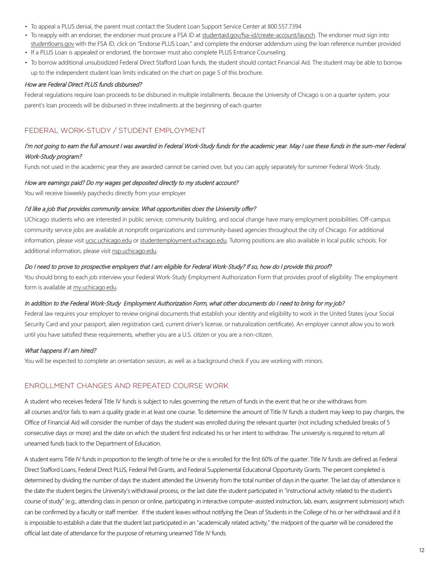- To appeal a PLUS denial, the parent must contact the Student Loan Support Service Center at 800.557.7394
- To reapply with an endorser, the endorser must procure a FSA ID at studentaid.gov/fsa-id/create-account/launch. The endorser must sign into studentloans.gov with the FSA ID, click on "Endorse PLUS Loan," and complete the endorser addendum using the loan reference number provided
- If a PLUS Loan is appealed or endorsed, the borrower must also complete PLUS Entrance Counseling.
- To borrow additional unsubsidized Federal Direct Stafford Loan funds, the student should contact Financial Aid. The student may be able to borrow up to the independent student loan limits indicated on the chart on page 5 of this brochure.

#### How are Federal Direct PLUS funds disbursed?

Federal regulations require loan proceeds to be disbursed in multiple installments. Because the University of Chicago is on a quarter system, your parent's loan proceeds will be disbursed in three installments at the beginning of each quarter.

# FEDERAL WORK-STUDY / STUDENT EMPLOYMENT

# I'm not going to earn the full amount I was awarded in Federal Work-Study funds for the academic year. May I use these funds in the sum-mer Federal Work-Study program?

Funds not used in the academic year they are awarded cannot be carried over, but you can apply separately for summer Federal Work-Study.

#### How are earnings paid? Do my wages get deposited directly to my student account?

You will receive biweekly paychecks directly from your employer.

#### I'd like a job that provides community service. What opportunities does the University offer?

UChicago students who are interested in public service, community building, and social change have many employment possibilities. Off-campus community service jobs are available at nonprofit organizations and community-based agencies throughout the city of Chicago. For additional information, please visit ucsc.uchicago.edu or studentemployment.uchicago.edu. Tutoring positions are also available in local public schools. For additional information, please visit nsp.uchicago.edu.

#### Do I need to prove to prospective employers that I am eligible for Federal Work-Study? If so, how do I provide this proof?

You should bring to each job interview your Federal Work-Study Employment Authorization Form that provides proof of eligibility. The employment form is available at my.uchicago.edu.

#### In addition to the Federal Work-Study Employment Authorization Form, what other documents do I need to bring for my job?

Federal law requires your employer to review original documents that establish your identity and eligibility to work in the United States (your Social Security Card and your passport, alien registration card, current driver's license, or naturalization certificate). An employer cannot allow you to work until you have satisfied these requirements, whether you are a U.S. citizen or you are a non-citizen.

#### What happens if I am hired?

You will be expected to complete an orientation session, as well as a background check if you are working with minors.

# ENROLLMENT CHANGES AND REPEATED COURSE WORK

A student who receives federal Title IV funds is subject to rules governing the return of funds in the event that he or she withdraws from all courses and/or fails to earn a quality grade in at least one course. To determine the amount of Title IV funds a student may keep to pay charges, the Office of Financial Aid will consider the number of days the student was enrolled during the relevant quarter (not including scheduled breaks of 5 consecutive days or more) and the date on which the student first indicated his or her intent to withdraw. The university is required to return all unearned funds back to the Department of Education.

A student earns Title IV funds in proportion to the length of time he or she is enrolled for the first 60% of the quarter. Title IV funds are defined as Federal Direct Stafford Loans, Federal Direct PLUS, Federal Pell Grants, and Federal Supplemental Educational Opportunity Grants. The percent completed is determined by dividing the number of days the student attended the University from the total number of days in the quarter. The last day of attendance is the date the student begins the University's withdrawal process, or the last date the student participated in "instructional activity related to the student's course of study" (e.g., attending class in person or online, participating in interactive computer-assisted instruction, lab, exam, assignment submission) which can be confirmed by a faculty or staff member. If the student leaves without notifying the Dean of Students in the College of his or her withdrawal and if it is impossible to establish a date that the student last participated in an "academically related activity," the midpoint of the quarter will be considered the official last date of attendance for the purpose of returning unearned Title IV funds.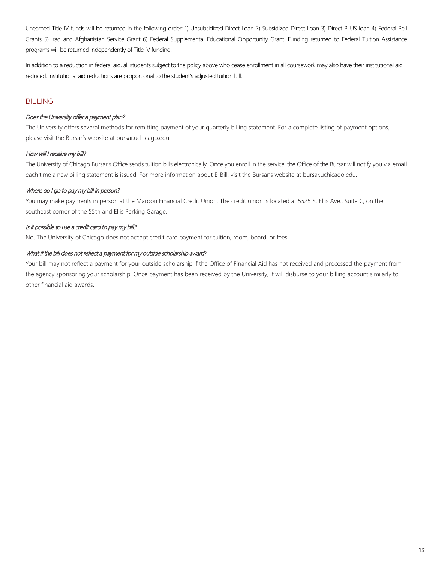Unearned Title IV funds will be returned in the following order: 1) Unsubsidized Direct Loan 2) Subsidized Direct Loan 3) Direct PLUS loan 4) Federal Pell Grants 5) Iraq and Afghanistan Service Grant 6) Federal Supplemental Educational Opportunity Grant. Funding returned to Federal Tuition Assistance programs will be returned independently of Title IV funding.

In addition to a reduction in federal aid, all students subject to the policy above who cease enrollment in all coursework may also have their institutional aid reduced. Institutional aid reductions are proportional to the student's adjusted tuition bill.

# BILLING

# Does the University offer a payment plan?

The University offers several methods for remitting payment of your quarterly billing statement. For a complete listing of payment options, please visit the Bursar's website at bursar.uchicago.edu.

# How will I receive my bill?

The University of Chicago Bursar's Office sends tuition bills electronically. Once you enroll in the service, the Office of the Bursar will notify you via email each time a new billing statement is issued. For more information about E-Bill, visit the Bursar's website at bursar.uchicago.edu.

# Where do I go to pay my bill in person?

You may make payments in person at the Maroon Financial Credit Union. The credit union is located at 5525 S. Ellis Ave., Suite C, on the southeast corner of the 55th and Ellis Parking Garage.

# Is it possible to use a credit card to pay my bill?

No. The University of Chicago does not accept credit card payment for tuition, room, board, or fees.

# What if the bill does not reflect a payment for my outside scholarship award?

Your bill may not reflect a payment for your outside scholarship if the Office of Financial Aid has not received and processed the payment from the agency sponsoring your scholarship. Once payment has been received by the University, it will disburse to your billing account similarly to other financial aid awards.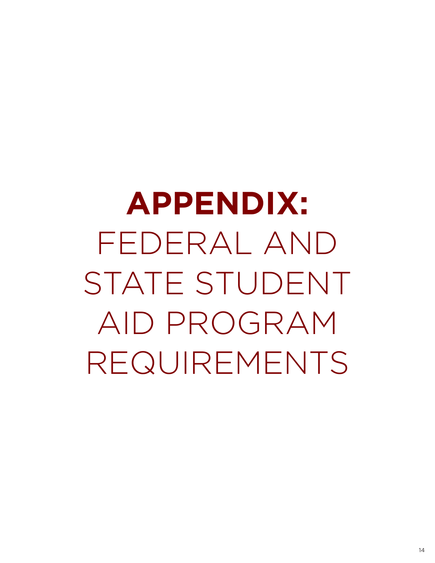**APPENDIX:**  FEDERAL AND STATE STUDENT AID PROGRAM REQUIREMENTS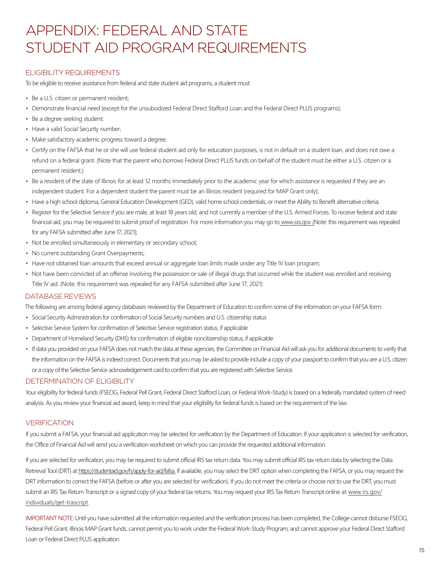# APPENDIX: FEDERAL AND STATE STUDENT AID PROGRAM REQUIREMENTS

# ELIGIBILITY REQUIREMENTS

To be eligible to receive assistance from federal and state student aid programs, a student must

- Be a U.S. citizen or permanent resident;
- Demonstrate financial need (except for the unsubsidized Federal Direct Stafford Loan and the Federal Direct PLUS programs);
- Be a degree seeking student;
- Have a valid Social Security number;
- Make satisfactory academic progress toward a degree;
- Certify on the FAFSA that he or she will use federal student aid only for education purposes, is not in default on a student loan, and does not owe a refund on a federal grant. (Note that the parent who borrows Federal Direct PLUS funds on behalf of the student must be either a U.S. citizen or a permanent resident.)
- Be a resident of the state of Illinois for at least 12 months immediately prior to the academic year for which assistance is requested if they are an independent student. For a dependent student the parent must be an Illinois resident (required for MAP Grant only);
- Have a high school diploma, General Education Development (GED), valid home school credentials, or meet the Ability to Benefit alternative criteria;
- Register for the Selective Service if you are male, at least 18 years old, and not currently a member of the U.S. Armed Forces. To receive federal and state financial aid, you may be required to submit proof of registration. For more information you may go to www.sss.gov (Note: this requirement was repealed for any FAFSA submitted after June 17, 2021);
- Not be enrolled simultaneously in elementary or secondary school;
- No current outstanding Grant Overpayments;
- Have not obtained loan amounts that exceed annual or aggregate loan limits made under any Title IV loan program;
- Not have been convicted of an offense involving the possession or sale of illegal drugs that occurred while the student was enrolled and receiving Title IV aid. (Note: this requirement was repealed for any FAFSA submitted after June 17, 2021)

# DATABASE REVIEWS

The following are among federal agency databases reviewed by the Department of Education to confirm some of the information on your FAFSA form:

- Social Security Administration for confirmation of Social Security numbers and U.S. citizenship status
- Selective Service System for confirmation of Selective Service registration status, if applicable
- Department of Homeland Security (DHS) for confirmation of eligible noncitizenship status, if applicable
- If data you provided on your FAFSA does not match the data at these agencies, the Committee on Financial Aid will ask you for additional documents to verify that the information on the FAFSA is indeed correct. Documents that you may be asked to provide include a copy of your passport to confirm that you are a U.S. citizen or a copy of the Selective Service acknowledgement card to confirm that you are registered with Selective Service.

# DETERMINATION OF ELIGIBILITY

Your eligibility for federal funds (FSEOG, Federal Pell Grant, Federal Direct Stafford Loan, or Federal Work-Study) is based on a federally mandated system of need analysis. As you review your financial aid award, keep in mind that your eligibility for federal funds is based on the requirement of the law.

# VERIFICATION

If you submit a FAFSA, your financial aid application may be selected for verification by the Department of Education. If your application is selected for verification, the Office of Financial Aid will send you a verification worksheet on which you can provide the requested additional information.

If you are selected for verification, you may be required to submit official IRS tax return data. You may submit official IRS tax return data by selecting the Data Retrieval Tool (DRT) at https://studentaid.gov/h/apply-for-aid/fafsa. If available, you may select the DRT option when completing the FAFSA, or you may request the DRT information to correct the FAFSA (before or after you are selected for verification). If you do not meet the criteria or choose not to use the DRT, you must submit an IRS Tax Return Transcript or a signed copy of your federal tax returns. You may request your IRS Tax Return Transcript online at www.irs.gov/ individuals/get-trascript.

IMPORTANT NOTE: Until you have submitted all the information requested and the verification process has been completed, the College cannot disburse FSEOG, Federal Pell Grant, Illinois MAP Grant funds; cannot permit you to work under the Federal Work-Study Program; and cannot approve your Federal Direct Stafford Loan or Federal Direct PLUS application.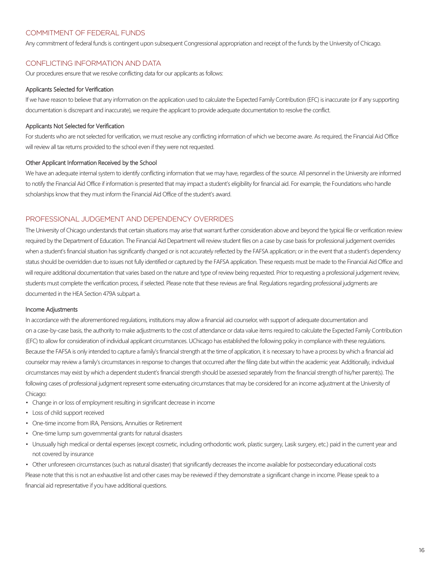# COMMITMENT OF FEDERAL FUNDS

Any commitment of federal funds is contingent upon subsequent Congressional appropriation and receipt of the funds by the University of Chicago.

# CONFLICTING INFORMATION AND DATA

Our procedures ensure that we resolve conflicting data for our applicants as follows:

#### Applicants Selected for Verification

If we have reason to believe that any information on the application used to calculate the Expected Family Contribution (EFC) is inaccurate (or if any supporting documentation is discrepant and inaccurate), we require the applicant to provide adequate documentation to resolve the conflict.

### Applicants Not Selected for Verification

For students who are not selected for verification, we must resolve any conflicting information of which we become aware. As required, the Financial Aid Office will review all tax returns provided to the school even if they were not requested.

#### Other Applicant Information Received by the School

We have an adequate internal system to identify conflicting information that we may have, regardless of the source. All personnel in the University are informed to notify the Financial Aid Office if information is presented that may impact a student's eligibility for financial aid. For example, the Foundations who handle scholarships know that they must inform the Financial Aid Office of the student's award.

# PROFESSIONAL JUDGEMENT AND DEPENDENCY OVERRIDES

The University of Chicago understands that certain situations may arise that warrant further consideration above and beyond the typical file or verification review required by the Department of Education. The Financial Aid Department will review student files on a case by case basis for professional judgement overrides when a student's financial situation has significantly changed or is not accurately reflected by the FAFSA application; or in the event that a student's dependency status should be overridden due to issues not fully identified or captured by the FAFSA application. These requests must be made to the Financial Aid Office and will require additional documentation that varies based on the nature and type of review being requested. Prior to requesting a professional judgement review, students must complete the verification process, if selected. Please note that these reviews are final. Regulations regarding professional judgments are documented in the HEA Section 479A subpart a.

#### Income Adjustments

In accordance with the aforementioned regulations, institutions may allow a financial aid counselor, with support of adequate documentation and on a case-by-case basis, the authority to make adjustments to the cost of attendance or data value items required to calculate the Expected Family Contribution (EFC) to allow for consideration of individual applicant circumstances. UChicago has established the following policy in compliance with these regulations. Because the FAFSA is only intended to capture a family's financial strength at the time of application, it is necessary to have a process by which a financial aid counselor may review a family's circumstances in response to changes that occurred after the filing date but within the academic year. Additionally, individual circumstances may exist by which a dependent student's financial strength should be assessed separately from the financial strength of his/her parent(s). The following cases of professional judgment represent some extenuating circumstances that may be considered for an income adjustment at the University of Chicago:

- Change in or loss of employment resulting in significant decrease in income
- Loss of child support received
- One-time income from IRA, Pensions, Annuities or Retirement
- One-time lump sum governmental grants for natural disasters
- Unusually high medical or dental expenses (except cosmetic, including orthodontic work, plastic surgery, Lasik surgery, etc.) paid in the current year and not covered by insurance

• Other unforeseen circumstances (such as natural disaster) that significantly decreases the income available for postsecondary educational costs Please note that this is not an exhaustive list and other cases may be reviewed if they demonstrate a significant change in income. Please speak to a financial aid representative if you have additional questions.